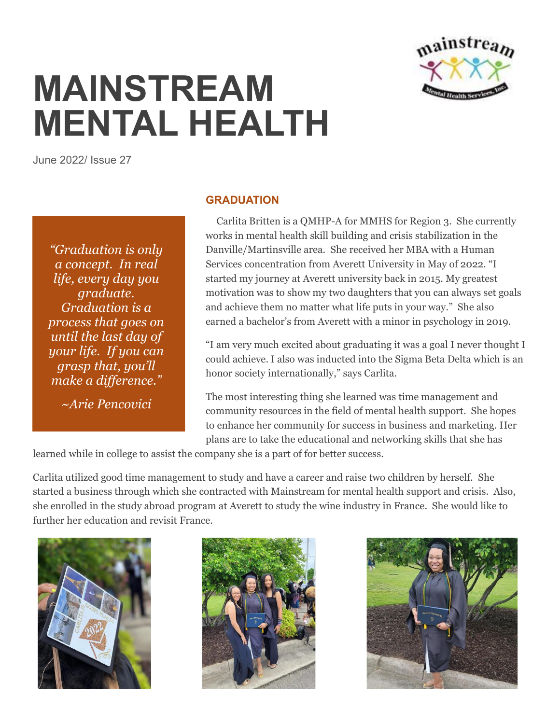

## **MAINSTREAM MENTAL HEALTH**

June 2022/ Issue 27

*"Graduation is only a concept. In real life, every day you graduate. Graduation is a process that goes on until the last day of your life. If you can grasp that, you'll make a difference."*

*~Arie Pencovici*

## **GRADUATION**

 Carlita Britten is a QMHP-A for MMHS for Region 3. She currently works in mental health skill building and crisis stabilization in the Danville/Martinsville area. She received her MBA with a Human Services concentration from Averett University in May of 2022. "I started my journey at Averett university back in 2015. My greatest motivation was to show my two daughters that you can always set goals and achieve them no matter what life puts in your way." She also earned a bachelor's from Averett with a minor in psychology in 2019.

"I am very much excited about graduating it was a goal I never thought I could achieve. I also was inducted into the Sigma Beta Delta which is an honor society internationally," says Carlita.

The most interesting thing she learned was time management and community resources in the field of mental health support. She hopes to enhance her community for success in business and marketing. Her plans are to take the educational and networking skills that she has

learned while in college to assist the company she is a part of for better success.

Carlita utilized good time management to study and have a career and raise two children by herself. She started a business through which she contracted with Mainstream for mental health support and crisis. Also, she enrolled in the study abroad program at Averett to study the wine industry in France. She would like to further her education and revisit France.